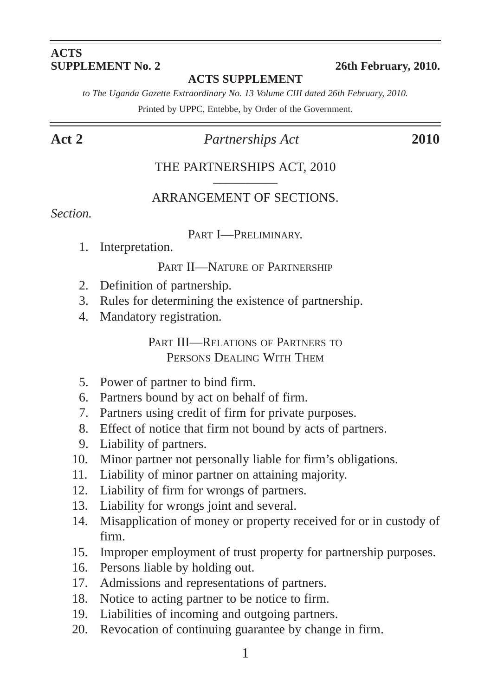#### **ACTS SUPPLEMENT No. 2** 26th February, 2010.

#### **ACTS SUPPLEMENT**

*to The Uganda Gazette Extraordinary No. 13 Volume CIII dated 26th February, 2010.*

Printed by UPPC, Entebbe, by Order of the Government.

## **Act 2** *Partnerships Act* **2010**

#### THE PARTNERSHIPS ACT, 2010

#### –––––––––– ARRANGEMENT OF SECTIONS.

#### *Section.*

PART I—PRELIMINARY.<br>1. Interpretation.

#### PART II—NATURE OF PARTNERSHIP

- 2. Definition of partnership.
- 3. Rules for determining the existence of partnership.
- 4. Mandatory registration.

PART III—RELATIONS OF PARTNERS TO PERSONS DEALING WITH THEM

- 5. Power of partner to bind firm.
- 6. Partners bound by act on behalf of firm.
- 7. Partners using credit of firm for private purposes.
- 8. Effect of notice that firm not bound by acts of partners.
- 9. Liability of partners.
- 10. Minor partner not personally liable for firm's obligations.
- 11. Liability of minor partner on attaining majority.
- 12. Liability of firm for wrongs of partners.
- 13. Liability for wrongs joint and several.
- 14. Misapplication of money or property received for or in custody of firm.
- 15. Improper employment of trust property for partnership purposes.
- 16. Persons liable by holding out.
- 17. Admissions and representations of partners.
- 18. Notice to acting partner to be notice to firm.
- 19. Liabilities of incoming and outgoing partners.
- 20. Revocation of continuing guarantee by change in firm.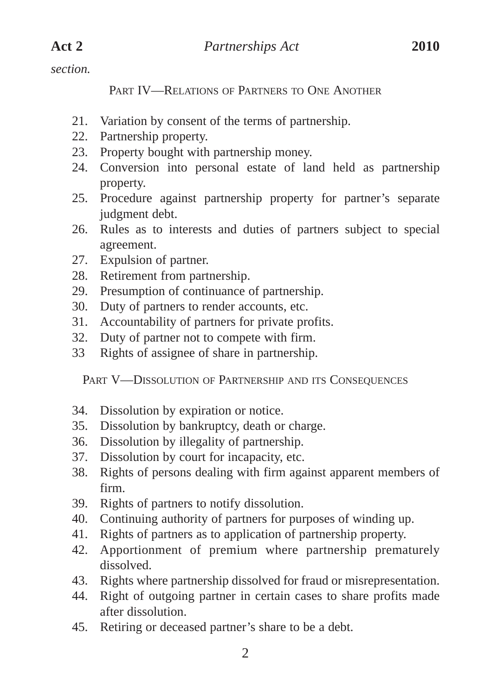*section.*

PART IV—RELATIONS OF PARTNERS TO ONE ANOTHER

- 21. Variation by consent of the terms of partnership.
- 22. Partnership property.
- 23. Property bought with partnership money.
- 24. Conversion into personal estate of land held as partnership property.
- 25. Procedure against partnership property for partner's separate judgment debt.
- 26. Rules as to interests and duties of partners subject to special agreement.
- 27. Expulsion of partner.
- 28. Retirement from partnership.
- 29. Presumption of continuance of partnership.
- 30. Duty of partners to render accounts, etc.
- 31. Accountability of partners for private profits.
- 32. Duty of partner not to compete with firm.
- 33 Rights of assignee of share in partnership.

PART V—DISSOLUTION OF PARTNERSHIP AND ITS CONSEQUENCES

- 34. Dissolution by expiration or notice.
- 35. Dissolution by bankruptcy, death or charge.
- 36. Dissolution by illegality of partnership.
- 37. Dissolution by court for incapacity, etc.
- 38. Rights of persons dealing with firm against apparent members of firm.
- 39. Rights of partners to notify dissolution.
- 40. Continuing authority of partners for purposes of winding up.
- 41. Rights of partners as to application of partnership property.
- 42. Apportionment of premium where partnership prematurely dissolved.
- 43. Rights where partnership dissolved for fraud or misrepresentation.
- 44. Right of outgoing partner in certain cases to share profits made after dissolution.
- 45. Retiring or deceased partner's share to be a debt.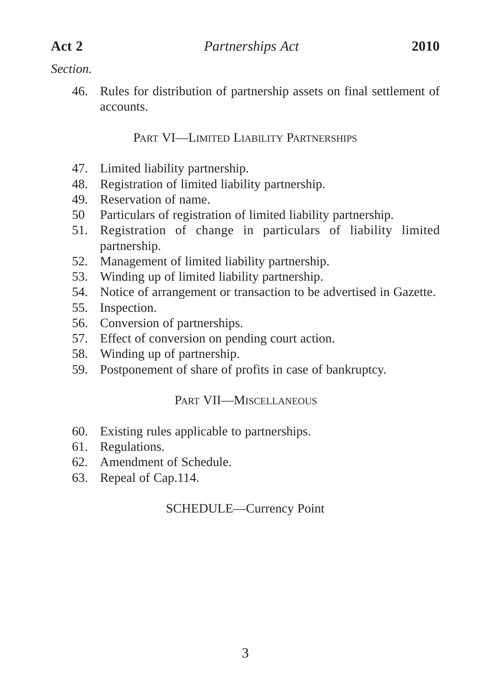#### *Section.*

46. Rules for distribution of partnership assets on final settlement of accounts.

PART VI—LIMITED LIABILITY PARTNERSHIPS

- 47. Limited liability partnership.
- 48. Registration of limited liability partnership.
- 49. Reservation of name.
- 50 Particulars of registration of limited liability partnership.
- 51. Registration of change in particulars of liability limited partnership.
- 52. Management of limited liability partnership.
- 53. Winding up of limited liability partnership.
- 54. Notice of arrangement or transaction to be advertised in Gazette.
- 55. Inspection.
- 56. Conversion of partnerships.
- 57. Effect of conversion on pending court action.
- 58. Winding up of partnership.
- 59. Postponement of share of profits in case of bankruptcy.

#### PART VII—MISCELLANEOUS

- 60. Existing rules applicable to partnerships.
- 61. Regulations.
- 62. Amendment of Schedule.
- 63. Repeal of Cap.114.

## SCHEDULE—Currency Point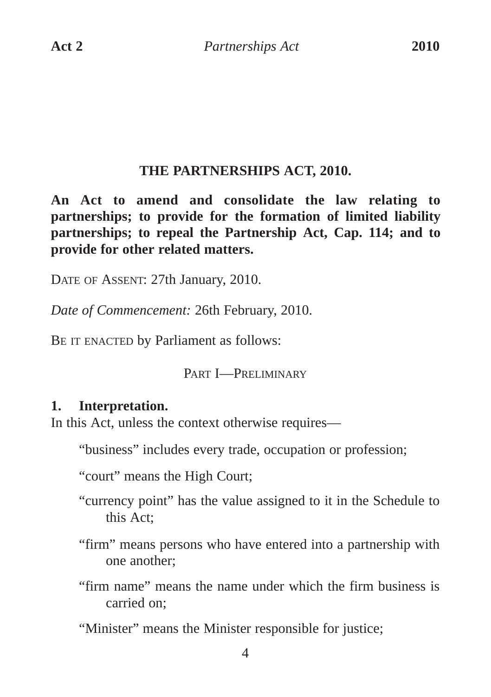### **THE PARTNERSHIPS ACT, 2010.**

**An Act to amend and consolidate the law relating to partnerships; to provide for the formation of limited liability partnerships; to repeal the Partnership Act, Cap. 114; and to provide for other related matters.**

DATE OF ASSENT: 27th January, 2010.

*Date of Commencement:* 26th February, 2010.

BE IT ENACTED by Parliament as follows:

PART **I**-PRELIMINARY

#### **1. Interpretation.**

In this Act, unless the context otherwise requires—

"business" includes every trade, occupation or profession;

"court" means the High Court;

"currency point" has the value assigned to it in the Schedule to this Act;

"firm" means persons who have entered into a partnership with one another;

"firm name" means the name under which the firm business is carried on;

"Minister" means the Minister responsible for justice;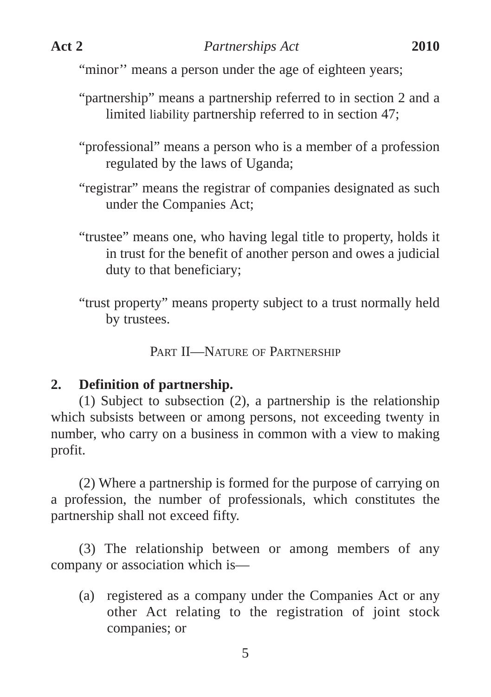"minor" means a person under the age of eighteen years;

- "partnership" means a partnership referred to in section 2 and a limited liability partnership referred to in section 47;
- "professional" means a person who is a member of a profession regulated by the laws of Uganda;
- "registrar" means the registrar of companies designated as such under the Companies Act;
- "trustee" means one, who having legal title to property, holds it in trust for the benefit of another person and owes a judicial duty to that beneficiary;
- "trust property" means property subject to a trust normally held by trustees.

PART II-NATURE OF PARTNERSHIP

## **2. Definition of partnership.**

(1) Subject to subsection (2), a partnership is the relationship which subsists between or among persons, not exceeding twenty in number, who carry on a business in common with a view to making profit.

(2) Where a partnership is formed for the purpose of carrying on a profession, the number of professionals, which constitutes the partnership shall not exceed fifty.

(3) The relationship between or among members of any company or association which is—

(a) registered as a company under the Companies Act or any other Act relating to the registration of joint stock companies; or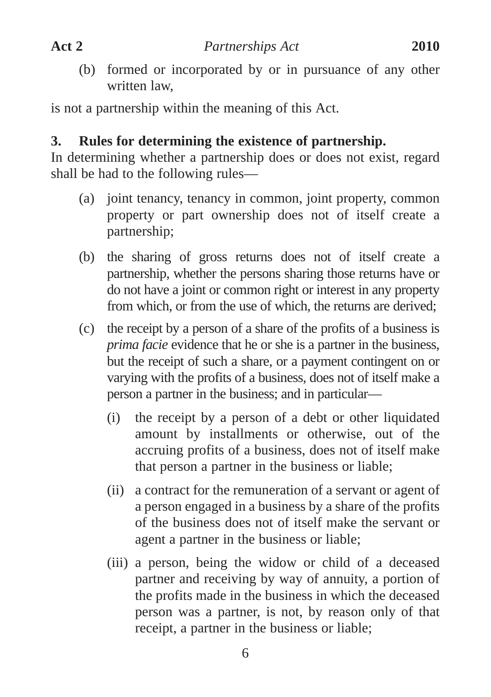(b) formed or incorporated by or in pursuance of any other written law,

is not a partnership within the meaning of this Act.

#### **3. Rules for determining the existence of partnership.**

In determining whether a partnership does or does not exist, regard shall be had to the following rules—

- (a) joint tenancy, tenancy in common, joint property, common property or part ownership does not of itself create a partnership;
- (b) the sharing of gross returns does not of itself create a partnership, whether the persons sharing those returns have or do not have a joint or common right or interest in any property from which, or from the use of which, the returns are derived;
- (c) the receipt by a person of a share of the profits of a business is *prima facie* evidence that he or she is a partner in the business, but the receipt of such a share, or a payment contingent on or varying with the profits of a business, does not of itself make a person a partner in the business; and in particular—
	- (i) the receipt by a person of a debt or other liquidated amount by installments or otherwise, out of the accruing profits of a business, does not of itself make that person a partner in the business or liable;
	- (ii) a contract for the remuneration of a servant or agent of a person engaged in a business by a share of the profits of the business does not of itself make the servant or agent a partner in the business or liable;
	- (iii) a person, being the widow or child of a deceased partner and receiving by way of annuity, a portion of the profits made in the business in which the deceased person was a partner, is not, by reason only of that receipt, a partner in the business or liable;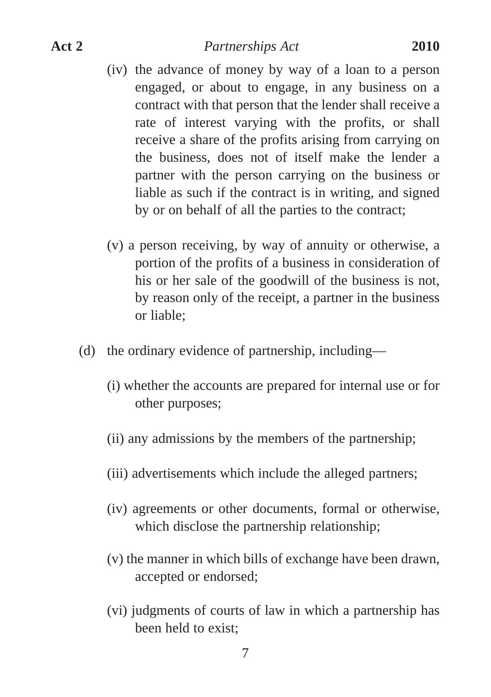- (iv) the advance of money by way of a loan to a person engaged, or about to engage, in any business on a contract with that person that the lender shall receive a rate of interest varying with the profits, or shall receive a share of the profits arising from carrying on the business, does not of itself make the lender a partner with the person carrying on the business or liable as such if the contract is in writing, and signed by or on behalf of all the parties to the contract;
- (v) a person receiving, by way of annuity or otherwise, a portion of the profits of a business in consideration of his or her sale of the goodwill of the business is not, by reason only of the receipt, a partner in the business or liable;
- (d) the ordinary evidence of partnership, including—
	- (i) whether the accounts are prepared for internal use or for other purposes;
	- (ii) any admissions by the members of the partnership;
	- (iii) advertisements which include the alleged partners;
	- (iv) agreements or other documents, formal or otherwise, which disclose the partnership relationship;
	- (v) the manner in which bills of exchange have been drawn, accepted or endorsed;
	- (vi) judgments of courts of law in which a partnership has been held to exist;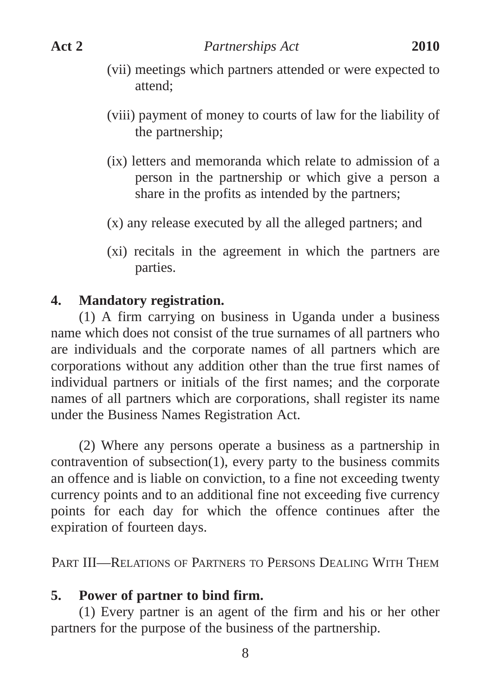- (vii) meetings which partners attended or were expected to attend;
- (viii) payment of money to courts of law for the liability of the partnership;
- (ix) letters and memoranda which relate to admission of a person in the partnership or which give a person a share in the profits as intended by the partners;
- (x) any release executed by all the alleged partners; and
- (xi) recitals in the agreement in which the partners are parties.

## **4. Mandatory registration.**

(1) A firm carrying on business in Uganda under a business name which does not consist of the true surnames of all partners who are individuals and the corporate names of all partners which are corporations without any addition other than the true first names of individual partners or initials of the first names; and the corporate names of all partners which are corporations, shall register its name under the Business Names Registration Act.

(2) Where any persons operate a business as a partnership in contravention of subsection(1), every party to the business commits an offence and is liable on conviction, to a fine not exceeding twenty currency points and to an additional fine not exceeding five currency points for each day for which the offence continues after the expiration of fourteen days.

PART III—RELATIONS OF PARTNERS TO PERSONS DEALING WITH THEM

## **5. Power of partner to bind firm.**

(1) Every partner is an agent of the firm and his or her other partners for the purpose of the business of the partnership.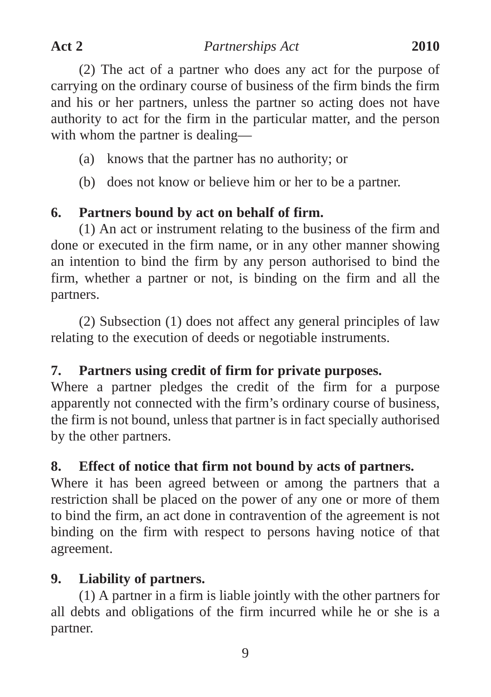(2) The act of a partner who does any act for the purpose of carrying on the ordinary course of business of the firm binds the firm and his or her partners, unless the partner so acting does not have authority to act for the firm in the particular matter, and the person with whom the partner is dealing—

- (a) knows that the partner has no authority; or
- (b) does not know or believe him or her to be a partner.

# **6. Partners bound by act on behalf of firm.**

(1) An act or instrument relating to the business of the firm and done or executed in the firm name, or in any other manner showing an intention to bind the firm by any person authorised to bind the firm, whether a partner or not, is binding on the firm and all the partners.

(2) Subsection (1) does not affect any general principles of law relating to the execution of deeds or negotiable instruments.

# **7. Partners using credit of firm for private purposes.**

Where a partner pledges the credit of the firm for a purpose apparently not connected with the firm's ordinary course of business, the firm is not bound, unless that partner is in fact specially authorised by the other partners.

## **8. Effect of notice that firm not bound by acts of partners.**

Where it has been agreed between or among the partners that a restriction shall be placed on the power of any one or more of them to bind the firm, an act done in contravention of the agreement is not binding on the firm with respect to persons having notice of that agreement.

## **9. Liability of partners.**

(1) A partner in a firm is liable jointly with the other partners for all debts and obligations of the firm incurred while he or she is a partner.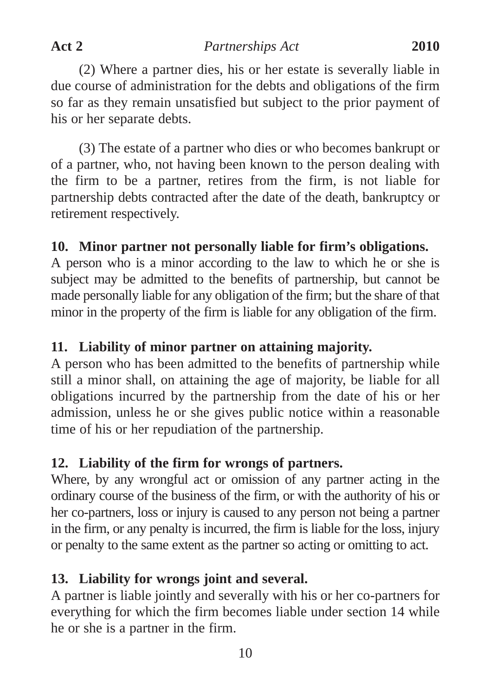(2) Where a partner dies, his or her estate is severally liable in due course of administration for the debts and obligations of the firm so far as they remain unsatisfied but subject to the prior payment of his or her separate debts.

(3) The estate of a partner who dies or who becomes bankrupt or of a partner, who, not having been known to the person dealing with the firm to be a partner, retires from the firm, is not liable for partnership debts contracted after the date of the death, bankruptcy or retirement respectively.

## **10. Minor partner not personally liable for firm's obligations.**

A person who is a minor according to the law to which he or she is subject may be admitted to the benefits of partnership, but cannot be made personally liable for any obligation of the firm; but the share of that minor in the property of the firm is liable for any obligation of the firm.

## **11. Liability of minor partner on attaining majority.**

A person who has been admitted to the benefits of partnership while still a minor shall, on attaining the age of majority, be liable for all obligations incurred by the partnership from the date of his or her admission, unless he or she gives public notice within a reasonable time of his or her repudiation of the partnership.

## **12. Liability of the firm for wrongs of partners.**

Where, by any wrongful act or omission of any partner acting in the ordinary course of the business of the firm, or with the authority of his or her co-partners, loss or injury is caused to any person not being a partner in the firm, or any penalty is incurred, the firm is liable for the loss, injury or penalty to the same extent as the partner so acting or omitting to act.

## **13. Liability for wrongs joint and several.**

A partner is liable jointly and severally with his or her co-partners for everything for which the firm becomes liable under section 14 while he or she is a partner in the firm.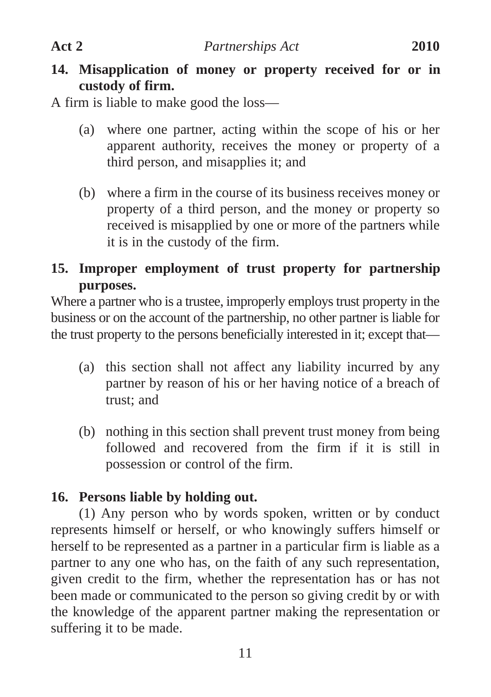**14. Misapplication of money or property received for or in custody of firm.**

A firm is liable to make good the loss—

- (a) where one partner, acting within the scope of his or her apparent authority, receives the money or property of a third person, and misapplies it; and
- (b) where a firm in the course of its business receives money or property of a third person, and the money or property so received is misapplied by one or more of the partners while it is in the custody of the firm.

## **15. Improper employment of trust property for partnership purposes.**

Where a partner who is a trustee, improperly employs trust property in the business or on the account of the partnership, no other partner is liable for the trust property to the persons beneficially interested in it; except that—

- (a) this section shall not affect any liability incurred by any partner by reason of his or her having notice of a breach of trust; and
- (b) nothing in this section shall prevent trust money from being followed and recovered from the firm if it is still in possession or control of the firm.

## **16. Persons liable by holding out.**

(1) Any person who by words spoken, written or by conduct represents himself or herself, or who knowingly suffers himself or herself to be represented as a partner in a particular firm is liable as a partner to any one who has, on the faith of any such representation, given credit to the firm, whether the representation has or has not been made or communicated to the person so giving credit by or with the knowledge of the apparent partner making the representation or suffering it to be made.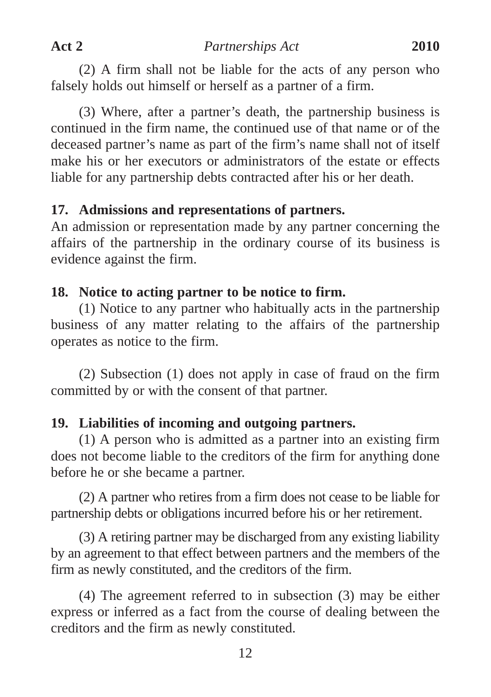(2) A firm shall not be liable for the acts of any person who falsely holds out himself or herself as a partner of a firm.

(3) Where, after a partner's death, the partnership business is continued in the firm name, the continued use of that name or of the deceased partner's name as part of the firm's name shall not of itself make his or her executors or administrators of the estate or effects liable for any partnership debts contracted after his or her death.

### **17. Admissions and representations of partners.**

An admission or representation made by any partner concerning the affairs of the partnership in the ordinary course of its business is evidence against the firm.

### **18. Notice to acting partner to be notice to firm.**

(1) Notice to any partner who habitually acts in the partnership business of any matter relating to the affairs of the partnership operates as notice to the firm.

(2) Subsection (1) does not apply in case of fraud on the firm committed by or with the consent of that partner.

## **19. Liabilities of incoming and outgoing partners.**

(1) A person who is admitted as a partner into an existing firm does not become liable to the creditors of the firm for anything done before he or she became a partner.

(2) A partner who retires from a firm does not cease to be liable for partnership debts or obligations incurred before his or her retirement.

(3) A retiring partner may be discharged from any existing liability by an agreement to that effect between partners and the members of the firm as newly constituted, and the creditors of the firm.

(4) The agreement referred to in subsection (3) may be either express or inferred as a fact from the course of dealing between the creditors and the firm as newly constituted.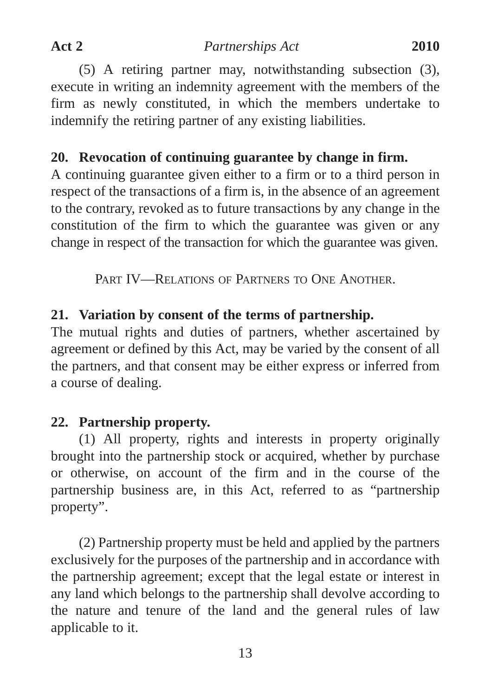(5) A retiring partner may, notwithstanding subsection (3), execute in writing an indemnity agreement with the members of the firm as newly constituted, in which the members undertake to indemnify the retiring partner of any existing liabilities.

## **20. Revocation of continuing guarantee by change in firm.**

A continuing guarantee given either to a firm or to a third person in respect of the transactions of a firm is, in the absence of an agreement to the contrary, revoked as to future transactions by any change in the constitution of the firm to which the guarantee was given or any change in respect of the transaction for which the guarantee was given.

PART IV—RELATIONS OF PARTNERS TO ONE ANOTHER.

## **21. Variation by consent of the terms of partnership.**

The mutual rights and duties of partners, whether ascertained by agreement or defined by this Act, may be varied by the consent of all the partners, and that consent may be either express or inferred from a course of dealing.

## **22. Partnership property.**

(1) All property, rights and interests in property originally brought into the partnership stock or acquired, whether by purchase or otherwise, on account of the firm and in the course of the partnership business are, in this Act, referred to as "partnership property".

(2) Partnership property must be held and applied by the partners exclusively for the purposes of the partnership and in accordance with the partnership agreement; except that the legal estate or interest in any land which belongs to the partnership shall devolve according to the nature and tenure of the land and the general rules of law applicable to it.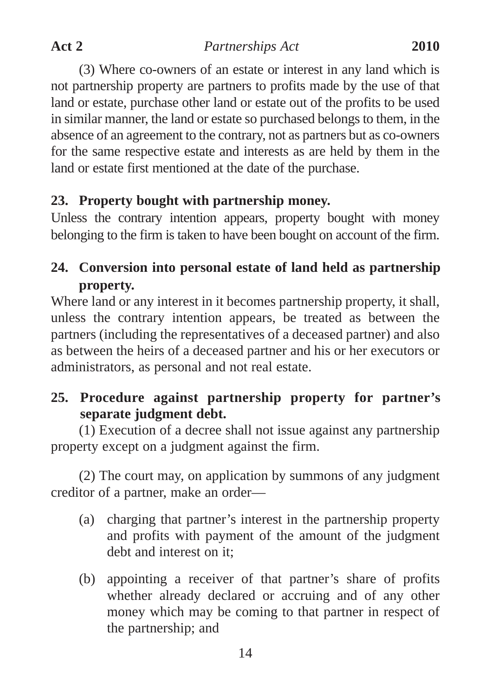(3) Where co-owners of an estate or interest in any land which is not partnership property are partners to profits made by the use of that land or estate, purchase other land or estate out of the profits to be used in similar manner, the land or estate so purchased belongs to them, in the absence of an agreement to the contrary, not as partners but as co-owners for the same respective estate and interests as are held by them in the land or estate first mentioned at the date of the purchase.

# **23. Property bought with partnership money.**

Unless the contrary intention appears, property bought with money belonging to the firm is taken to have been bought on account of the firm.

# **24. Conversion into personal estate of land held as partnership property.**

Where land or any interest in it becomes partnership property, it shall, unless the contrary intention appears, be treated as between the partners (including the representatives of a deceased partner) and also as between the heirs of a deceased partner and his or her executors or administrators, as personal and not real estate.

# **25. Procedure against partnership property for partner's separate judgment debt.**

(1) Execution of a decree shall not issue against any partnership property except on a judgment against the firm.

(2) The court may, on application by summons of any judgment creditor of a partner, make an order—

- (a) charging that partner's interest in the partnership property and profits with payment of the amount of the judgment debt and interest on it;
- (b) appointing a receiver of that partner's share of profits whether already declared or accruing and of any other money which may be coming to that partner in respect of the partnership; and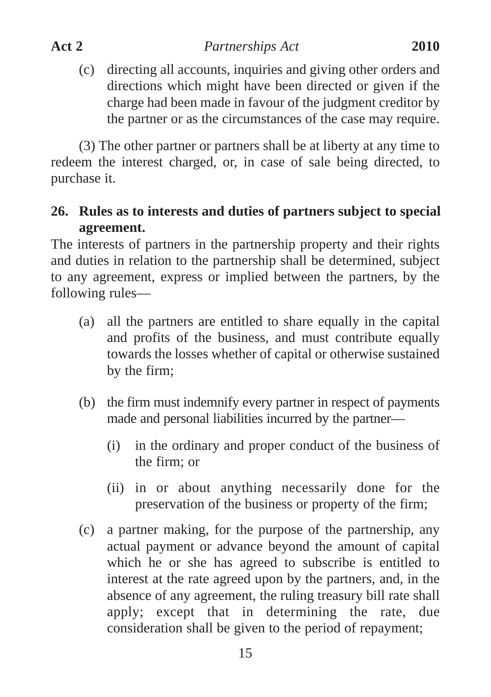(c) directing all accounts, inquiries and giving other orders and directions which might have been directed or given if the charge had been made in favour of the judgment creditor by the partner or as the circumstances of the case may require.

(3) The other partner or partners shall be at liberty at any time to redeem the interest charged, or, in case of sale being directed, to purchase it.

## **26. Rules as to interests and duties of partners subject to special agreement.**

The interests of partners in the partnership property and their rights and duties in relation to the partnership shall be determined, subject to any agreement, express or implied between the partners, by the following rules—

- (a) all the partners are entitled to share equally in the capital and profits of the business, and must contribute equally towards the losses whether of capital or otherwise sustained by the firm;
- (b) the firm must indemnify every partner in respect of payments made and personal liabilities incurred by the partner—
	- (i) in the ordinary and proper conduct of the business of the firm; or
	- (ii) in or about anything necessarily done for the preservation of the business or property of the firm;
- (c) a partner making, for the purpose of the partnership, any actual payment or advance beyond the amount of capital which he or she has agreed to subscribe is entitled to interest at the rate agreed upon by the partners, and, in the absence of any agreement, the ruling treasury bill rate shall apply; except that in determining the rate, due consideration shall be given to the period of repayment;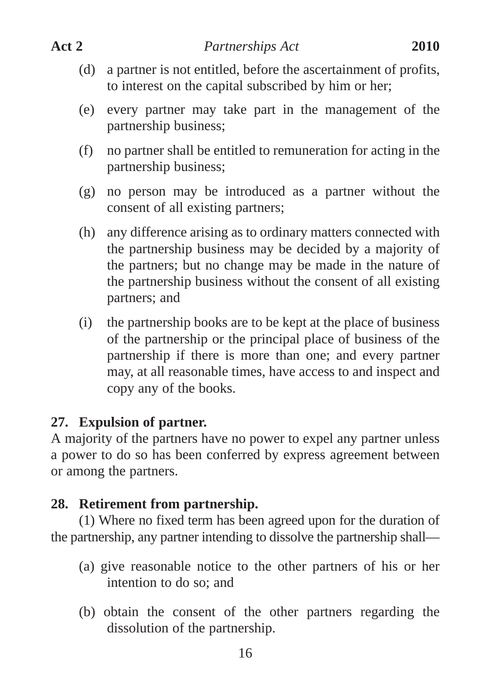- (d) a partner is not entitled, before the ascertainment of profits, to interest on the capital subscribed by him or her;
- (e) every partner may take part in the management of the partnership business;
- (f) no partner shall be entitled to remuneration for acting in the partnership business;
- (g) no person may be introduced as a partner without the consent of all existing partners;
- (h) any difference arising as to ordinary matters connected with the partnership business may be decided by a majority of the partners; but no change may be made in the nature of the partnership business without the consent of all existing partners; and
- (i) the partnership books are to be kept at the place of business of the partnership or the principal place of business of the partnership if there is more than one; and every partner may, at all reasonable times, have access to and inspect and copy any of the books.

## **27. Expulsion of partner.**

A majority of the partners have no power to expel any partner unless a power to do so has been conferred by express agreement between or among the partners.

# **28. Retirement from partnership.**

(1) Where no fixed term has been agreed upon for the duration of the partnership, any partner intending to dissolve the partnership shall—

- (a) give reasonable notice to the other partners of his or her intention to do so; and
- (b) obtain the consent of the other partners regarding the dissolution of the partnership.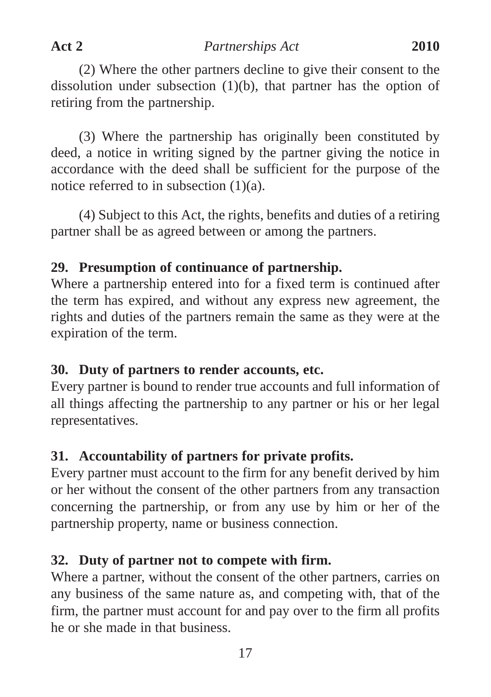(2) Where the other partners decline to give their consent to the dissolution under subsection (1)(b), that partner has the option of retiring from the partnership.

(3) Where the partnership has originally been constituted by deed, a notice in writing signed by the partner giving the notice in accordance with the deed shall be sufficient for the purpose of the notice referred to in subsection  $(1)(a)$ .

(4) Subject to this Act, the rights, benefits and duties of a retiring partner shall be as agreed between or among the partners.

## **29. Presumption of continuance of partnership.**

Where a partnership entered into for a fixed term is continued after the term has expired, and without any express new agreement, the rights and duties of the partners remain the same as they were at the expiration of the term.

## **30. Duty of partners to render accounts, etc.**

Every partner is bound to render true accounts and full information of all things affecting the partnership to any partner or his or her legal representatives.

# **31. Accountability of partners for private profits.**

Every partner must account to the firm for any benefit derived by him or her without the consent of the other partners from any transaction concerning the partnership, or from any use by him or her of the partnership property, name or business connection.

## **32. Duty of partner not to compete with firm.**

Where a partner, without the consent of the other partners, carries on any business of the same nature as, and competing with, that of the firm, the partner must account for and pay over to the firm all profits he or she made in that business.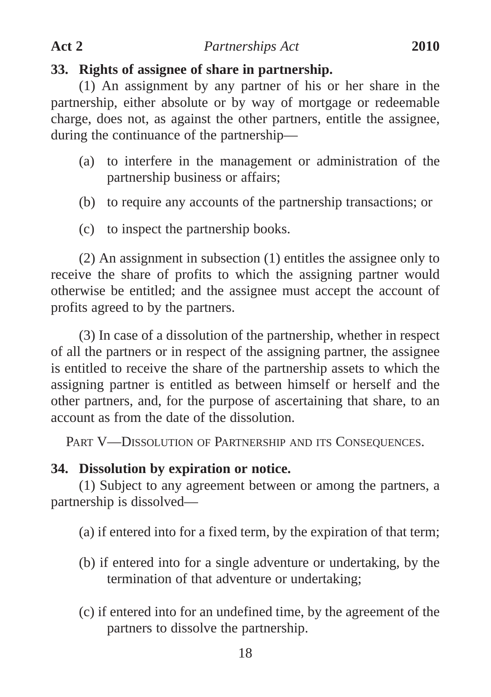### **33. Rights of assignee of share in partnership.**

(1) An assignment by any partner of his or her share in the partnership, either absolute or by way of mortgage or redeemable charge, does not, as against the other partners, entitle the assignee, during the continuance of the partnership—

- (a) to interfere in the management or administration of the partnership business or affairs;
- (b) to require any accounts of the partnership transactions; or
- (c) to inspect the partnership books.

(2) An assignment in subsection (1) entitles the assignee only to receive the share of profits to which the assigning partner would otherwise be entitled; and the assignee must accept the account of profits agreed to by the partners.

(3) In case of a dissolution of the partnership, whether in respect of all the partners or in respect of the assigning partner, the assignee is entitled to receive the share of the partnership assets to which the assigning partner is entitled as between himself or herself and the other partners, and, for the purpose of ascertaining that share, to an account as from the date of the dissolution.

PART V-DISSOLUTION OF PARTNERSHIP AND ITS CONSEQUENCES.

#### **34. Dissolution by expiration or notice.**

(1) Subject to any agreement between or among the partners, a partnership is dissolved—

(a) if entered into for a fixed term, by the expiration of that term;

- (b) if entered into for a single adventure or undertaking, by the termination of that adventure or undertaking;
- (c) if entered into for an undefined time, by the agreement of the partners to dissolve the partnership.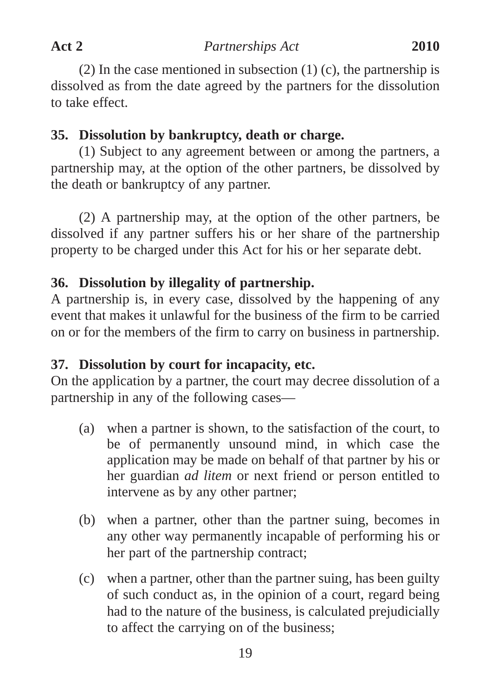(2) In the case mentioned in subsection  $(1)$  (c), the partnership is dissolved as from the date agreed by the partners for the dissolution to take effect.

## **35. Dissolution by bankruptcy, death or charge.**

(1) Subject to any agreement between or among the partners, a partnership may, at the option of the other partners, be dissolved by the death or bankruptcy of any partner.

(2) A partnership may, at the option of the other partners, be dissolved if any partner suffers his or her share of the partnership property to be charged under this Act for his or her separate debt.

## **36. Dissolution by illegality of partnership.**

A partnership is, in every case, dissolved by the happening of any event that makes it unlawful for the business of the firm to be carried on or for the members of the firm to carry on business in partnership.

# **37. Dissolution by court for incapacity, etc.**

On the application by a partner, the court may decree dissolution of a partnership in any of the following cases—

- (a) when a partner is shown, to the satisfaction of the court, to be of permanently unsound mind, in which case the application may be made on behalf of that partner by his or her guardian *ad litem* or next friend or person entitled to intervene as by any other partner;
- (b) when a partner, other than the partner suing, becomes in any other way permanently incapable of performing his or her part of the partnership contract;
- (c) when a partner, other than the partner suing, has been guilty of such conduct as, in the opinion of a court, regard being had to the nature of the business, is calculated prejudicially to affect the carrying on of the business;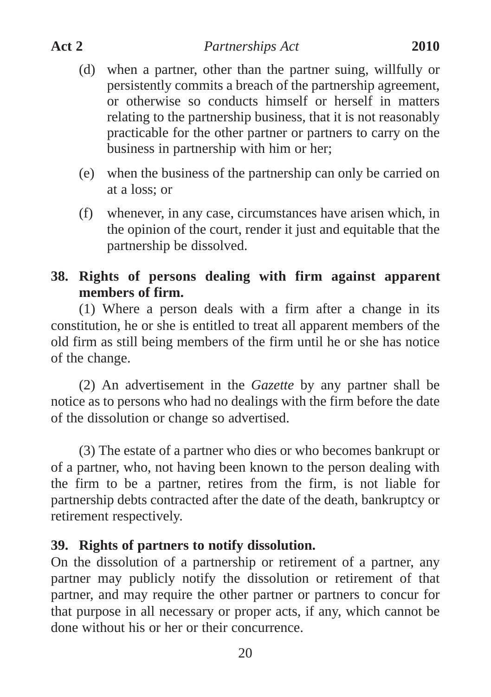- (d) when a partner, other than the partner suing, willfully or persistently commits a breach of the partnership agreement, or otherwise so conducts himself or herself in matters relating to the partnership business, that it is not reasonably practicable for the other partner or partners to carry on the business in partnership with him or her;
- (e) when the business of the partnership can only be carried on at a loss; or
- (f) whenever, in any case, circumstances have arisen which, in the opinion of the court, render it just and equitable that the partnership be dissolved.

## **38. Rights of persons dealing with firm against apparent members of firm.**

(1) Where a person deals with a firm after a change in its constitution, he or she is entitled to treat all apparent members of the old firm as still being members of the firm until he or she has notice of the change.

(2) An advertisement in the *Gazette* by any partner shall be notice as to persons who had no dealings with the firm before the date of the dissolution or change so advertised.

(3) The estate of a partner who dies or who becomes bankrupt or of a partner, who, not having been known to the person dealing with the firm to be a partner, retires from the firm, is not liable for partnership debts contracted after the date of the death, bankruptcy or retirement respectively.

## **39. Rights of partners to notify dissolution.**

On the dissolution of a partnership or retirement of a partner, any partner may publicly notify the dissolution or retirement of that partner, and may require the other partner or partners to concur for that purpose in all necessary or proper acts, if any, which cannot be done without his or her or their concurrence.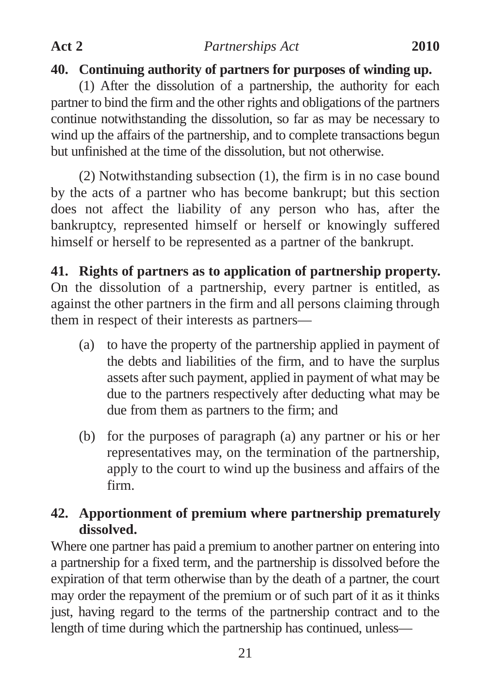## **40. Continuing authority of partners for purposes of winding up.**

(1) After the dissolution of a partnership, the authority for each partner to bind the firm and the other rights and obligations of the partners continue notwithstanding the dissolution, so far as may be necessary to wind up the affairs of the partnership, and to complete transactions begun but unfinished at the time of the dissolution, but not otherwise.

(2) Notwithstanding subsection (1), the firm is in no case bound by the acts of a partner who has become bankrupt; but this section does not affect the liability of any person who has, after the bankruptcy, represented himself or herself or knowingly suffered himself or herself to be represented as a partner of the bankrupt.

**41. Rights of partners as to application of partnership property.** On the dissolution of a partnership, every partner is entitled, as against the other partners in the firm and all persons claiming through them in respect of their interests as partners—

- (a) to have the property of the partnership applied in payment of the debts and liabilities of the firm, and to have the surplus assets after such payment, applied in payment of what may be due to the partners respectively after deducting what may be due from them as partners to the firm; and
- (b) for the purposes of paragraph (a) any partner or his or her representatives may, on the termination of the partnership, apply to the court to wind up the business and affairs of the firm.

# **42. Apportionment of premium where partnership prematurely dissolved.**

Where one partner has paid a premium to another partner on entering into a partnership for a fixed term, and the partnership is dissolved before the expiration of that term otherwise than by the death of a partner, the court may order the repayment of the premium or of such part of it as it thinks just, having regard to the terms of the partnership contract and to the length of time during which the partnership has continued, unless—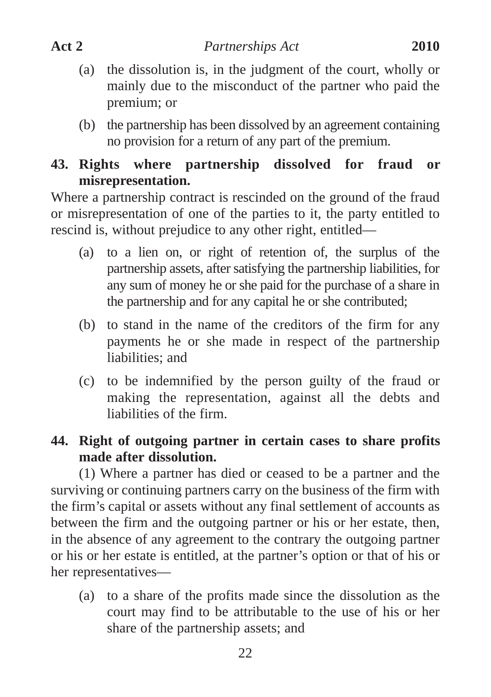- (a) the dissolution is, in the judgment of the court, wholly or mainly due to the misconduct of the partner who paid the premium; or
- (b) the partnership has been dissolved by an agreement containing no provision for a return of any part of the premium.

## **43. Rights where partnership dissolved for fraud or misrepresentation.**

Where a partnership contract is rescinded on the ground of the fraud or misrepresentation of one of the parties to it, the party entitled to rescind is, without prejudice to any other right, entitled—

- (a) to a lien on, or right of retention of, the surplus of the partnership assets, after satisfying the partnership liabilities, for any sum of money he or she paid for the purchase of a share in the partnership and for any capital he or she contributed;
- (b) to stand in the name of the creditors of the firm for any payments he or she made in respect of the partnership liabilities; and
- (c) to be indemnified by the person guilty of the fraud or making the representation, against all the debts and liabilities of the firm.

# **44. Right of outgoing partner in certain cases to share profits made after dissolution.**

(1) Where a partner has died or ceased to be a partner and the surviving or continuing partners carry on the business of the firm with the firm's capital or assets without any final settlement of accounts as between the firm and the outgoing partner or his or her estate, then, in the absence of any agreement to the contrary the outgoing partner or his or her estate is entitled, at the partner's option or that of his or her representatives—

(a) to a share of the profits made since the dissolution as the court may find to be attributable to the use of his or her share of the partnership assets; and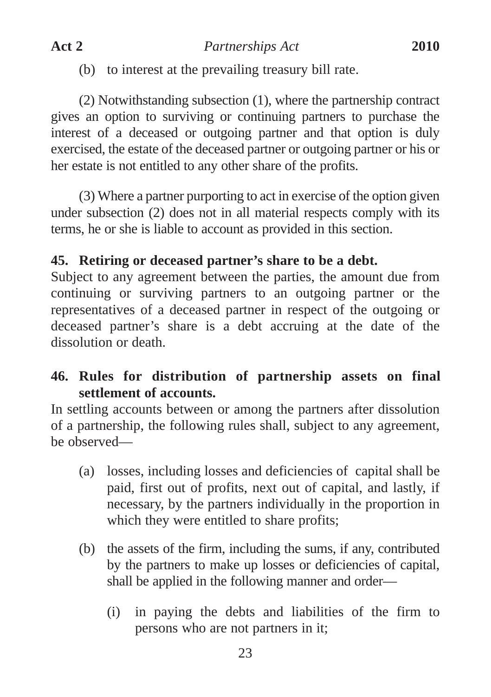(b) to interest at the prevailing treasury bill rate.

(2) Notwithstanding subsection (1), where the partnership contract gives an option to surviving or continuing partners to purchase the interest of a deceased or outgoing partner and that option is duly exercised, the estate of the deceased partner or outgoing partner or his or her estate is not entitled to any other share of the profits.

(3) Where a partner purporting to act in exercise of the option given under subsection (2) does not in all material respects comply with its terms, he or she is liable to account as provided in this section.

# **45. Retiring or deceased partner's share to be a debt.**

Subject to any agreement between the parties, the amount due from continuing or surviving partners to an outgoing partner or the representatives of a deceased partner in respect of the outgoing or deceased partner's share is a debt accruing at the date of the dissolution or death.

# **46. Rules for distribution of partnership assets on final settlement of accounts.**

In settling accounts between or among the partners after dissolution of a partnership, the following rules shall, subject to any agreement, be observed—

- (a) losses, including losses and deficiencies of capital shall be paid, first out of profits, next out of capital, and lastly, if necessary, by the partners individually in the proportion in which they were entitled to share profits;
- (b) the assets of the firm, including the sums, if any, contributed by the partners to make up losses or deficiencies of capital, shall be applied in the following manner and order—
	- (i) in paying the debts and liabilities of the firm to persons who are not partners in it;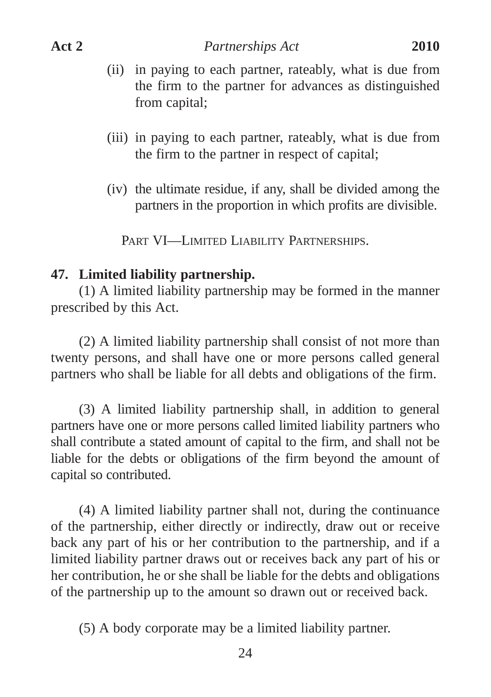- (ii) in paying to each partner, rateably, what is due from the firm to the partner for advances as distinguished from capital;
- (iii) in paying to each partner, rateably, what is due from the firm to the partner in respect of capital;
- (iv) the ultimate residue, if any, shall be divided among the partners in the proportion in which profits are divisible.

PART VI—LIMITED LIABILITY PARTNERSHIPS.

#### **47. Limited liability partnership.**

(1) A limited liability partnership may be formed in the manner prescribed by this Act.

(2) A limited liability partnership shall consist of not more than twenty persons, and shall have one or more persons called general partners who shall be liable for all debts and obligations of the firm.

(3) A limited liability partnership shall, in addition to general partners have one or more persons called limited liability partners who shall contribute a stated amount of capital to the firm, and shall not be liable for the debts or obligations of the firm beyond the amount of capital so contributed.

(4) A limited liability partner shall not, during the continuance of the partnership, either directly or indirectly, draw out or receive back any part of his or her contribution to the partnership, and if a limited liability partner draws out or receives back any part of his or her contribution, he or she shall be liable for the debts and obligations of the partnership up to the amount so drawn out or received back.

(5) A body corporate may be a limited liability partner.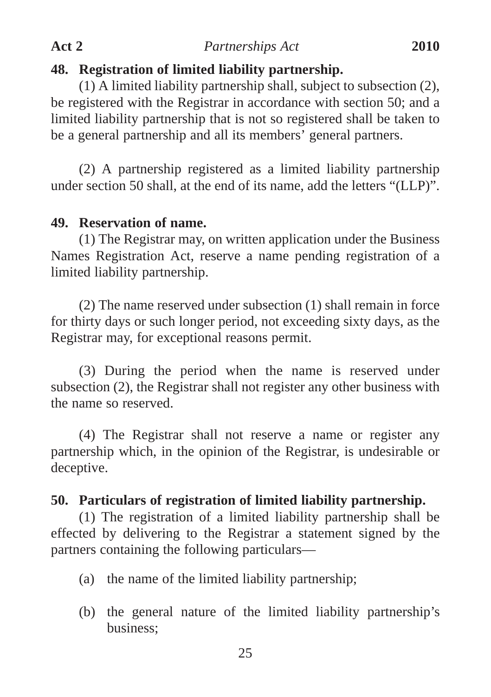### **48. Registration of limited liability partnership.**

(1) A limited liability partnership shall, subject to subsection (2), be registered with the Registrar in accordance with section 50; and a limited liability partnership that is not so registered shall be taken to be a general partnership and all its members' general partners.

(2) A partnership registered as a limited liability partnership under section 50 shall, at the end of its name, add the letters "(LLP)".

#### **49. Reservation of name.**

(1) The Registrar may, on written application under the Business Names Registration Act, reserve a name pending registration of a limited liability partnership.

(2) The name reserved under subsection (1) shall remain in force for thirty days or such longer period, not exceeding sixty days, as the Registrar may, for exceptional reasons permit.

(3) During the period when the name is reserved under subsection (2), the Registrar shall not register any other business with the name so reserved.

(4) The Registrar shall not reserve a name or register any partnership which, in the opinion of the Registrar, is undesirable or deceptive.

#### **50. Particulars of registration of limited liability partnership.**

(1) The registration of a limited liability partnership shall be effected by delivering to the Registrar a statement signed by the partners containing the following particulars—

- (a) the name of the limited liability partnership;
- (b) the general nature of the limited liability partnership's business;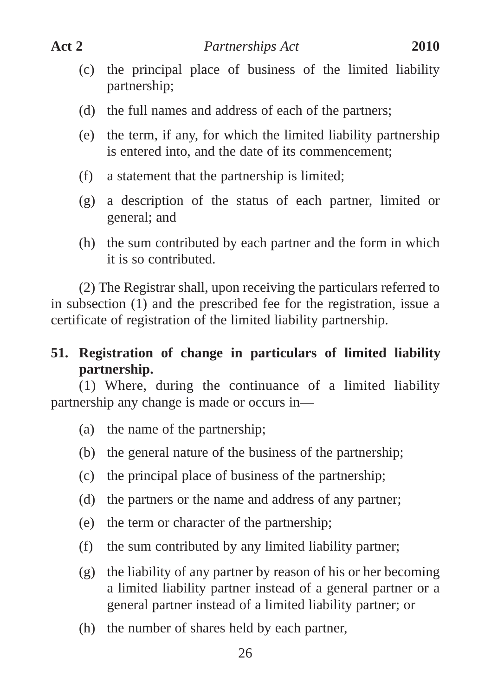- (c) the principal place of business of the limited liability
- partnership;
- (d) the full names and address of each of the partners;
- (e) the term, if any, for which the limited liability partnership is entered into, and the date of its commencement;
- (f) a statement that the partnership is limited;
- (g) a description of the status of each partner, limited or general; and
- (h) the sum contributed by each partner and the form in which it is so contributed.

(2) The Registrar shall, upon receiving the particulars referred to in subsection (1) and the prescribed fee for the registration, issue a certificate of registration of the limited liability partnership.

**51. Registration of change in particulars of limited liability partnership.**

(1) Where, during the continuance of a limited liability partnership any change is made or occurs in—

- (a) the name of the partnership;
- (b) the general nature of the business of the partnership;
- (c) the principal place of business of the partnership;
- (d) the partners or the name and address of any partner;
- (e) the term or character of the partnership;
- (f) the sum contributed by any limited liability partner;
- (g) the liability of any partner by reason of his or her becoming a limited liability partner instead of a general partner or a general partner instead of a limited liability partner; or
- (h) the number of shares held by each partner,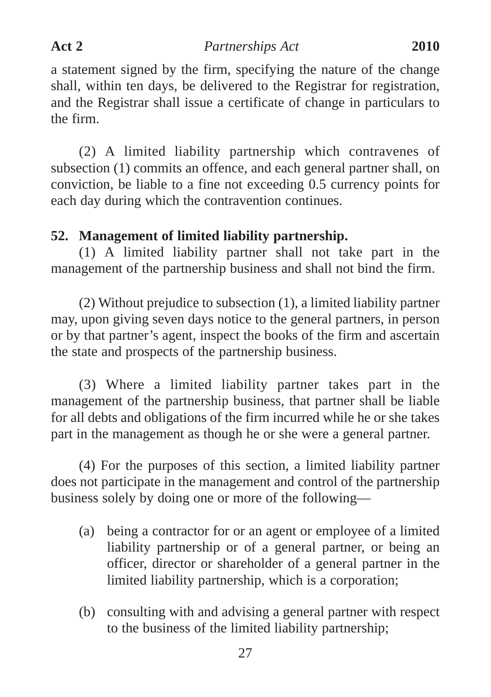a statement signed by the firm, specifying the nature of the change shall, within ten days, be delivered to the Registrar for registration, and the Registrar shall issue a certificate of change in particulars to the firm.

(2) A limited liability partnership which contravenes of subsection (1) commits an offence, and each general partner shall, on conviction, be liable to a fine not exceeding 0.5 currency points for each day during which the contravention continues.

## **52. Management of limited liability partnership.**

(1) A limited liability partner shall not take part in the management of the partnership business and shall not bind the firm.

(2) Without prejudice to subsection (1), a limited liability partner may, upon giving seven days notice to the general partners, in person or by that partner's agent, inspect the books of the firm and ascertain the state and prospects of the partnership business.

(3) Where a limited liability partner takes part in the management of the partnership business, that partner shall be liable for all debts and obligations of the firm incurred while he or she takes part in the management as though he or she were a general partner.

(4) For the purposes of this section, a limited liability partner does not participate in the management and control of the partnership business solely by doing one or more of the following—

- (a) being a contractor for or an agent or employee of a limited liability partnership or of a general partner, or being an officer, director or shareholder of a general partner in the limited liability partnership, which is a corporation;
- (b) consulting with and advising a general partner with respect to the business of the limited liability partnership;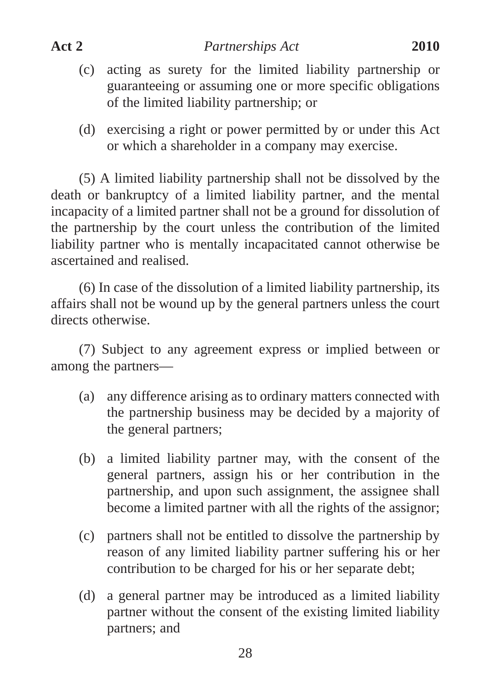- (c) acting as surety for the limited liability partnership or guaranteeing or assuming one or more specific obligations of the limited liability partnership; or
- (d) exercising a right or power permitted by or under this Act or which a shareholder in a company may exercise.

(5) A limited liability partnership shall not be dissolved by the death or bankruptcy of a limited liability partner, and the mental incapacity of a limited partner shall not be a ground for dissolution of the partnership by the court unless the contribution of the limited liability partner who is mentally incapacitated cannot otherwise be ascertained and realised.

(6) In case of the dissolution of a limited liability partnership, its affairs shall not be wound up by the general partners unless the court directs otherwise.

(7) Subject to any agreement express or implied between or among the partners—

- (a) any difference arising as to ordinary matters connected with the partnership business may be decided by a majority of the general partners;
- (b) a limited liability partner may, with the consent of the general partners, assign his or her contribution in the partnership, and upon such assignment, the assignee shall become a limited partner with all the rights of the assignor;
- (c) partners shall not be entitled to dissolve the partnership by reason of any limited liability partner suffering his or her contribution to be charged for his or her separate debt;
- (d) a general partner may be introduced as a limited liability partner without the consent of the existing limited liability partners; and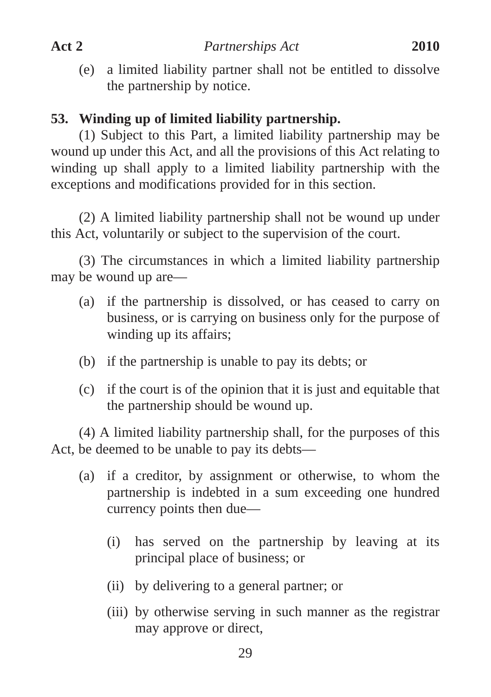(e) a limited liability partner shall not be entitled to dissolve the partnership by notice.

## **53. Winding up of limited liability partnership.**

(1) Subject to this Part, a limited liability partnership may be wound up under this Act, and all the provisions of this Act relating to winding up shall apply to a limited liability partnership with the exceptions and modifications provided for in this section.

(2) A limited liability partnership shall not be wound up under this Act, voluntarily or subject to the supervision of the court.

(3) The circumstances in which a limited liability partnership may be wound up are—

- (a) if the partnership is dissolved, or has ceased to carry on business, or is carrying on business only for the purpose of winding up its affairs;
- (b) if the partnership is unable to pay its debts; or
- (c) if the court is of the opinion that it is just and equitable that the partnership should be wound up.

(4) A limited liability partnership shall, for the purposes of this Act, be deemed to be unable to pay its debts—

- (a) if a creditor, by assignment or otherwise, to whom the partnership is indebted in a sum exceeding one hundred currency points then due—
	- (i) has served on the partnership by leaving at its principal place of business; or
	- (ii) by delivering to a general partner; or
	- (iii) by otherwise serving in such manner as the registrar may approve or direct,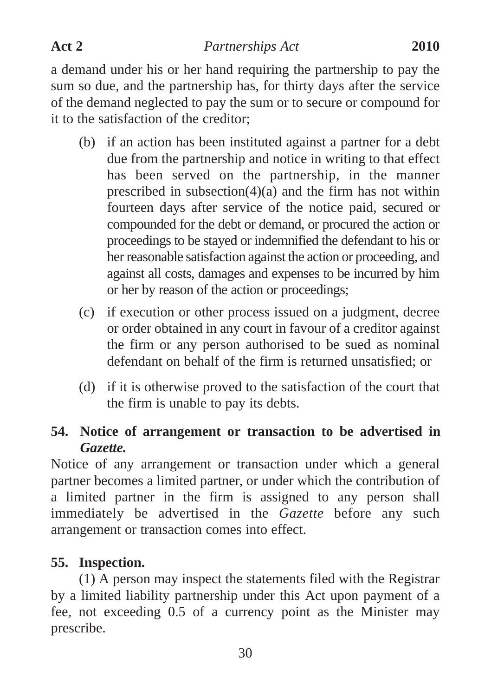a demand under his or her hand requiring the partnership to pay the sum so due, and the partnership has, for thirty days after the service of the demand neglected to pay the sum or to secure or compound for it to the satisfaction of the creditor;

- (b) if an action has been instituted against a partner for a debt due from the partnership and notice in writing to that effect has been served on the partnership, in the manner prescribed in subsection(4)(a) and the firm has not within fourteen days after service of the notice paid, secured or compounded for the debt or demand, or procured the action or proceedings to be stayed or indemnified the defendant to his or her reasonable satisfaction against the action or proceeding, and against all costs, damages and expenses to be incurred by him or her by reason of the action or proceedings;
- (c) if execution or other process issued on a judgment, decree or order obtained in any court in favour of a creditor against the firm or any person authorised to be sued as nominal defendant on behalf of the firm is returned unsatisfied; or
- (d) if it is otherwise proved to the satisfaction of the court that the firm is unable to pay its debts.

## **54. Notice of arrangement or transaction to be advertised in** *Gazette.*

Notice of any arrangement or transaction under which a general partner becomes a limited partner, or under which the contribution of a limited partner in the firm is assigned to any person shall immediately be advertised in the *Gazette* before any such arrangement or transaction comes into effect.

## **55. Inspection.**

(1) A person may inspect the statements filed with the Registrar by a limited liability partnership under this Act upon payment of a fee, not exceeding 0.5 of a currency point as the Minister may prescribe.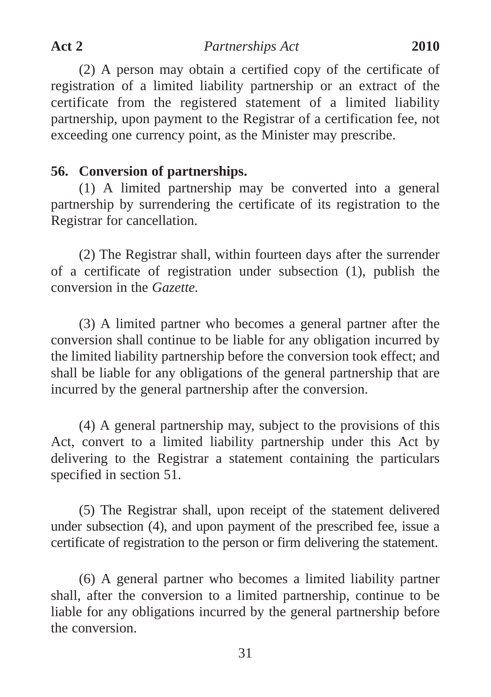(2) A person may obtain a certified copy of the certificate of registration of a limited liability partnership or an extract of the certificate from the registered statement of a limited liability partnership, upon payment to the Registrar of a certification fee, not exceeding one currency point, as the Minister may prescribe.

## **56. Conversion of partnerships.**

(1) A limited partnership may be converted into a general partnership by surrendering the certificate of its registration to the Registrar for cancellation.

(2) The Registrar shall, within fourteen days after the surrender of a certificate of registration under subsection (1), publish the conversion in the *Gazette.*

(3) A limited partner who becomes a general partner after the conversion shall continue to be liable for any obligation incurred by the limited liability partnership before the conversion took effect; and shall be liable for any obligations of the general partnership that are incurred by the general partnership after the conversion.

(4) A general partnership may, subject to the provisions of this Act, convert to a limited liability partnership under this Act by delivering to the Registrar a statement containing the particulars specified in section 51.

(5) The Registrar shall, upon receipt of the statement delivered under subsection (4), and upon payment of the prescribed fee, issue a certificate of registration to the person or firm delivering the statement.

(6) A general partner who becomes a limited liability partner shall, after the conversion to a limited partnership, continue to be liable for any obligations incurred by the general partnership before the conversion.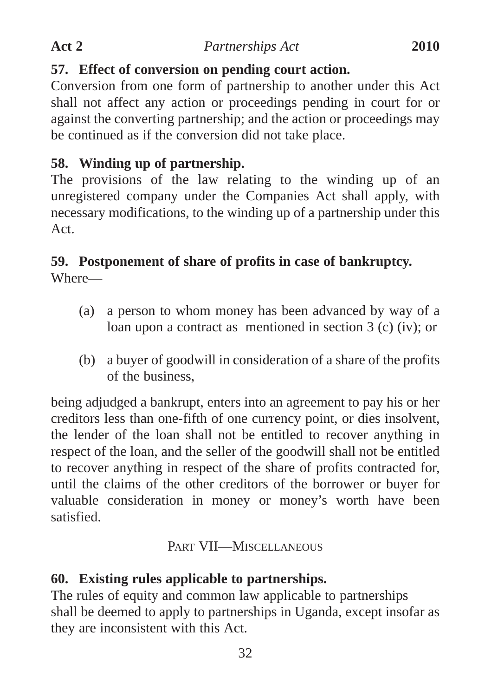# **57. Effect of conversion on pending court action.**

Conversion from one form of partnership to another under this Act shall not affect any action or proceedings pending in court for or against the converting partnership; and the action or proceedings may be continued as if the conversion did not take place.

# **58. Winding up of partnership.**

The provisions of the law relating to the winding up of an unregistered company under the Companies Act shall apply, with necessary modifications, to the winding up of a partnership under this Act.

# **59. Postponement of share of profits in case of bankruptcy.**

Where—

- (a) a person to whom money has been advanced by way of a loan upon a contract as mentioned in section 3 (c) (iv); or
- (b) a buyer of goodwill in consideration of a share of the profits of the business,

being adjudged a bankrupt, enters into an agreement to pay his or her creditors less than one-fifth of one currency point, or dies insolvent, the lender of the loan shall not be entitled to recover anything in respect of the loan, and the seller of the goodwill shall not be entitled to recover anything in respect of the share of profits contracted for, until the claims of the other creditors of the borrower or buyer for valuable consideration in money or money's worth have been satisfied.

# PART VII—MISCELLANEOUS

# **60. Existing rules applicable to partnerships.**

The rules of equity and common law applicable to partnerships shall be deemed to apply to partnerships in Uganda, except insofar as they are inconsistent with this Act.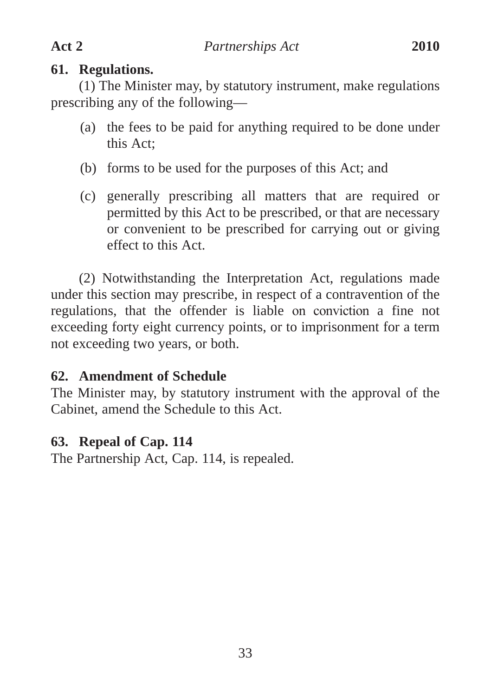## **61. Regulations.**

(1) The Minister may, by statutory instrument, make regulations prescribing any of the following—

- (a) the fees to be paid for anything required to be done under this Act;
- (b) forms to be used for the purposes of this Act; and
- (c) generally prescribing all matters that are required or permitted by this Act to be prescribed, or that are necessary or convenient to be prescribed for carrying out or giving effect to this Act.

(2) Notwithstanding the Interpretation Act, regulations made under this section may prescribe, in respect of a contravention of the regulations, that the offender is liable on conviction a fine not exceeding forty eight currency points, or to imprisonment for a term not exceeding two years, or both.

# **62. Amendment of Schedule**

The Minister may, by statutory instrument with the approval of the Cabinet, amend the Schedule to this Act.

# **63. Repeal of Cap. 114**

The Partnership Act, Cap. 114, is repealed.